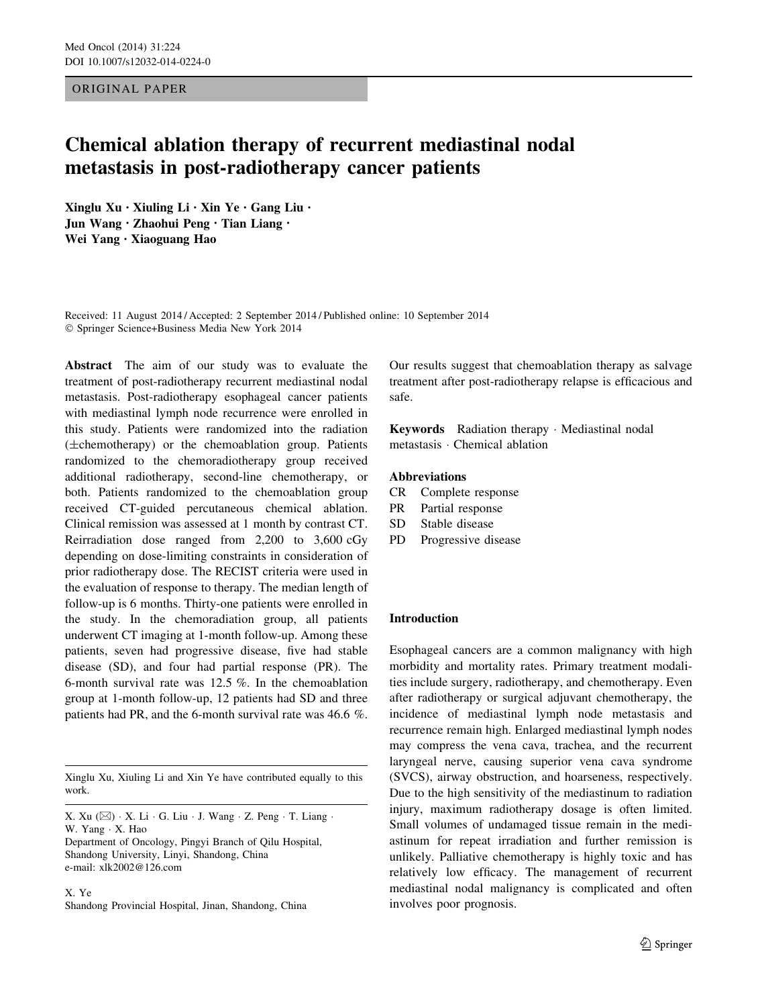ORIGINAL PAPER

# Chemical ablation therapy of recurrent mediastinal nodal metastasis in post-radiotherapy cancer patients

Xinglu Xu • Xiuling Li • Xin Ye • Gang Liu • Jun Wang • Zhaohui Peng • Tian Liang • Wei Yang • Xiaoguang Hao

Received: 11 August 2014 / Accepted: 2 September 2014 / Published online: 10 September 2014 - Springer Science+Business Media New York 2014

Abstract The aim of our study was to evaluate the treatment of post-radiotherapy recurrent mediastinal nodal metastasis. Post-radiotherapy esophageal cancer patients with mediastinal lymph node recurrence were enrolled in this study. Patients were randomized into the radiation (±chemotherapy) or the chemoablation group. Patients randomized to the chemoradiotherapy group received additional radiotherapy, second-line chemotherapy, or both. Patients randomized to the chemoablation group received CT-guided percutaneous chemical ablation. Clinical remission was assessed at 1 month by contrast CT. Reirradiation dose ranged from 2,200 to 3,600 cGy depending on dose-limiting constraints in consideration of prior radiotherapy dose. The RECIST criteria were used in the evaluation of response to therapy. The median length of follow-up is 6 months. Thirty-one patients were enrolled in the study. In the chemoradiation group, all patients underwent CT imaging at 1-month follow-up. Among these patients, seven had progressive disease, five had stable disease (SD), and four had partial response (PR). The 6-month survival rate was 12.5 %. In the chemoablation group at 1-month follow-up, 12 patients had SD and three patients had PR, and the 6-month survival rate was 46.6 %.

Xinglu Xu, Xiuling Li and Xin Ye have contributed equally to this work.

X. Xu (⊠) · X. Li · G. Liu · J. Wang · Z. Peng · T. Liang · W. Yang - X. Hao

Department of Oncology, Pingyi Branch of Qilu Hospital, Shandong University, Linyi, Shandong, China e-mail: xlk2002@126.com

X. Ye Shandong Provincial Hospital, Jinan, Shandong, China Our results suggest that chemoablation therapy as salvage treatment after post-radiotherapy relapse is efficacious and safe.

Keywords Radiation therapy - Mediastinal nodal metastasis - Chemical ablation

#### Abbreviations

- CR Complete response
- PR Partial response
- SD Stable disease
- PD Progressive disease

# Introduction

Esophageal cancers are a common malignancy with high morbidity and mortality rates. Primary treatment modalities include surgery, radiotherapy, and chemotherapy. Even after radiotherapy or surgical adjuvant chemotherapy, the incidence of mediastinal lymph node metastasis and recurrence remain high. Enlarged mediastinal lymph nodes may compress the vena cava, trachea, and the recurrent laryngeal nerve, causing superior vena cava syndrome (SVCS), airway obstruction, and hoarseness, respectively. Due to the high sensitivity of the mediastinum to radiation injury, maximum radiotherapy dosage is often limited. Small volumes of undamaged tissue remain in the mediastinum for repeat irradiation and further remission is unlikely. Palliative chemotherapy is highly toxic and has relatively low efficacy. The management of recurrent mediastinal nodal malignancy is complicated and often involves poor prognosis.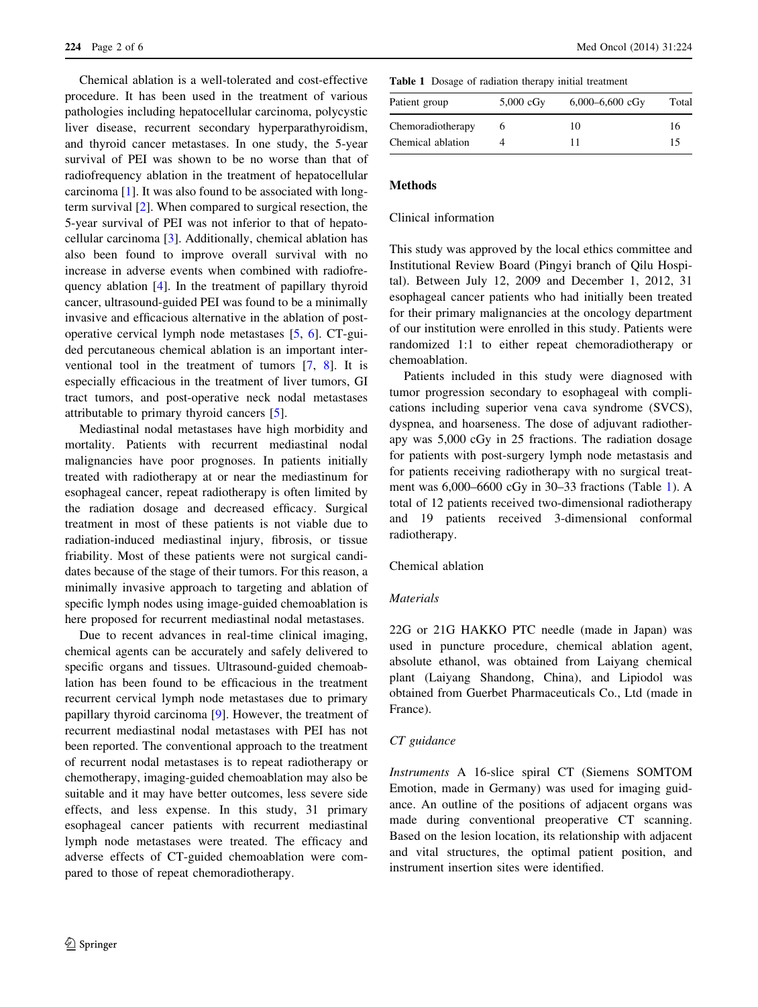Chemical ablation is a well-tolerated and cost-effective procedure. It has been used in the treatment of various pathologies including hepatocellular carcinoma, polycystic liver disease, recurrent secondary hyperparathyroidism, and thyroid cancer metastases. In one study, the 5-year survival of PEI was shown to be no worse than that of radiofrequency ablation in the treatment of hepatocellular carcinoma [[1\]](#page-5-0). It was also found to be associated with longterm survival [[2\]](#page-5-0). When compared to surgical resection, the 5-year survival of PEI was not inferior to that of hepatocellular carcinoma [[3\]](#page-5-0). Additionally, chemical ablation has also been found to improve overall survival with no increase in adverse events when combined with radiofrequency ablation [\[4](#page-5-0)]. In the treatment of papillary thyroid cancer, ultrasound-guided PEI was found to be a minimally invasive and efficacious alternative in the ablation of postoperative cervical lymph node metastases [[5,](#page-5-0) [6](#page-5-0)]. CT-guided percutaneous chemical ablation is an important interventional tool in the treatment of tumors [\[7](#page-5-0), [8](#page-5-0)]. It is especially efficacious in the treatment of liver tumors, GI tract tumors, and post-operative neck nodal metastases attributable to primary thyroid cancers [\[5](#page-5-0)].

Mediastinal nodal metastases have high morbidity and mortality. Patients with recurrent mediastinal nodal malignancies have poor prognoses. In patients initially treated with radiotherapy at or near the mediastinum for esophageal cancer, repeat radiotherapy is often limited by the radiation dosage and decreased efficacy. Surgical treatment in most of these patients is not viable due to radiation-induced mediastinal injury, fibrosis, or tissue friability. Most of these patients were not surgical candidates because of the stage of their tumors. For this reason, a minimally invasive approach to targeting and ablation of specific lymph nodes using image-guided chemoablation is here proposed for recurrent mediastinal nodal metastases.

Due to recent advances in real-time clinical imaging, chemical agents can be accurately and safely delivered to specific organs and tissues. Ultrasound-guided chemoablation has been found to be efficacious in the treatment recurrent cervical lymph node metastases due to primary papillary thyroid carcinoma [\[9](#page-5-0)]. However, the treatment of recurrent mediastinal nodal metastases with PEI has not been reported. The conventional approach to the treatment of recurrent nodal metastases is to repeat radiotherapy or chemotherapy, imaging-guided chemoablation may also be suitable and it may have better outcomes, less severe side effects, and less expense. In this study, 31 primary esophageal cancer patients with recurrent mediastinal lymph node metastases were treated. The efficacy and adverse effects of CT-guided chemoablation were compared to those of repeat chemoradiotherapy.

Table 1 Dosage of radiation therapy initial treatment

| $5,000$ cGy | $6,000 - 6,600$ cGy | Total |
|-------------|---------------------|-------|
|             | 10                  | 16    |
|             |                     | 15    |
|             |                     |       |

#### **Methods**

#### Clinical information

This study was approved by the local ethics committee and Institutional Review Board (Pingyi branch of Qilu Hospital). Between July 12, 2009 and December 1, 2012, 31 esophageal cancer patients who had initially been treated for their primary malignancies at the oncology department of our institution were enrolled in this study. Patients were randomized 1:1 to either repeat chemoradiotherapy or chemoablation.

Patients included in this study were diagnosed with tumor progression secondary to esophageal with complications including superior vena cava syndrome (SVCS), dyspnea, and hoarseness. The dose of adjuvant radiotherapy was 5,000 cGy in 25 fractions. The radiation dosage for patients with post-surgery lymph node metastasis and for patients receiving radiotherapy with no surgical treatment was 6,000–6600 cGy in 30–33 fractions (Table 1). A total of 12 patients received two-dimensional radiotherapy and 19 patients received 3-dimensional conformal radiotherapy.

Chemical ablation

## Materials

22G or 21G HAKKO PTC needle (made in Japan) was used in puncture procedure, chemical ablation agent, absolute ethanol, was obtained from Laiyang chemical plant (Laiyang Shandong, China), and Lipiodol was obtained from Guerbet Pharmaceuticals Co., Ltd (made in France).

# CT guidance

Instruments A 16-slice spiral CT (Siemens SOMTOM Emotion, made in Germany) was used for imaging guidance. An outline of the positions of adjacent organs was made during conventional preoperative CT scanning. Based on the lesion location, its relationship with adjacent and vital structures, the optimal patient position, and instrument insertion sites were identified.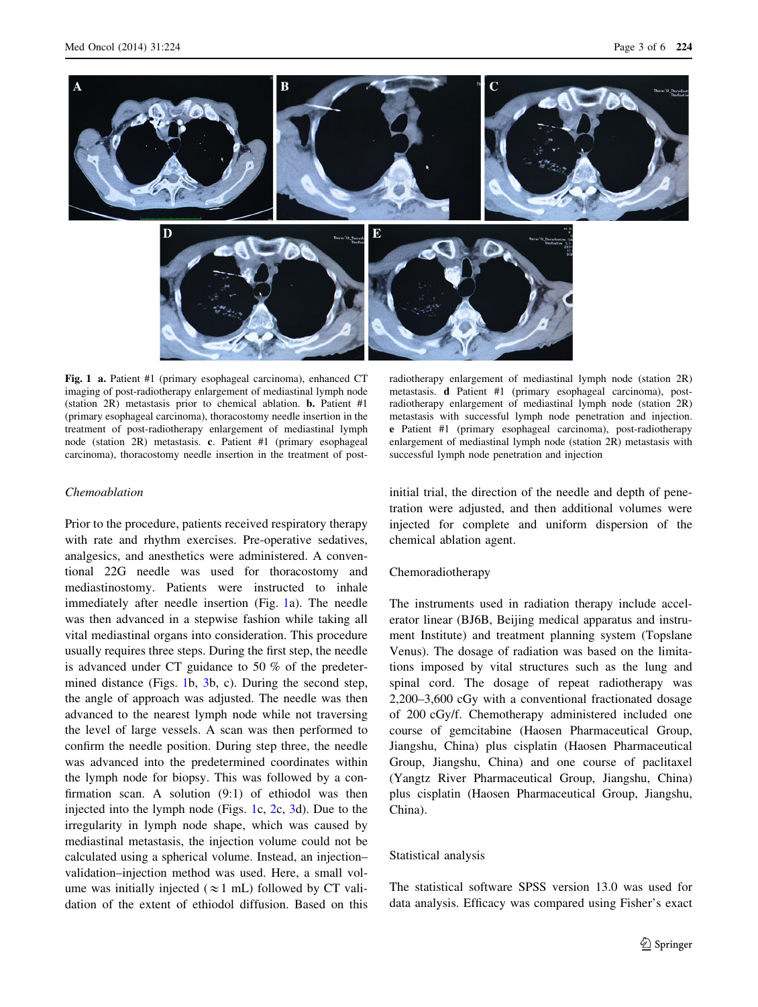

Fig. 1 a. Patient #1 (primary esophageal carcinoma), enhanced CT imaging of post-radiotherapy enlargement of mediastinal lymph node (station 2R) metastasis prior to chemical ablation. b. Patient #1 (primary esophageal carcinoma), thoracostomy needle insertion in the treatment of post-radiotherapy enlargement of mediastinal lymph node (station 2R) metastasis. c. Patient #1 (primary esophageal carcinoma), thoracostomy needle insertion in the treatment of post-

#### Chemoablation

Prior to the procedure, patients received respiratory therapy with rate and rhythm exercises. Pre-operative sedatives, analgesics, and anesthetics were administered. A conventional 22G needle was used for thoracostomy and mediastinostomy. Patients were instructed to inhale immediately after needle insertion (Fig. 1a). The needle was then advanced in a stepwise fashion while taking all vital mediastinal organs into consideration. This procedure usually requires three steps. During the first step, the needle is advanced under CT guidance to 50 % of the predetermined distance (Figs. 1b, [3b](#page-3-0), c). During the second step, the angle of approach was adjusted. The needle was then advanced to the nearest lymph node while not traversing the level of large vessels. A scan was then performed to confirm the needle position. During step three, the needle was advanced into the predetermined coordinates within the lymph node for biopsy. This was followed by a confirmation scan. A solution (9:1) of ethiodol was then injected into the lymph node (Figs. 1c, [2](#page-3-0)c, [3](#page-3-0)d). Due to the irregularity in lymph node shape, which was caused by mediastinal metastasis, the injection volume could not be calculated using a spherical volume. Instead, an injection– validation–injection method was used. Here, a small volume was initially injected ( $\approx$ 1 mL) followed by CT validation of the extent of ethiodol diffusion. Based on this

radiotherapy enlargement of mediastinal lymph node (station 2R) metastasis. d Patient #1 (primary esophageal carcinoma), postradiotherapy enlargement of mediastinal lymph node (station 2R) metastasis with successful lymph node penetration and injection. e Patient #1 (primary esophageal carcinoma), post-radiotherapy enlargement of mediastinal lymph node (station 2R) metastasis with successful lymph node penetration and injection

initial trial, the direction of the needle and depth of penetration were adjusted, and then additional volumes were injected for complete and uniform dispersion of the chemical ablation agent.

#### Chemoradiotherapy

The instruments used in radiation therapy include accelerator linear (BJ6B, Beijing medical apparatus and instrument Institute) and treatment planning system (Topslane Venus). The dosage of radiation was based on the limitations imposed by vital structures such as the lung and spinal cord. The dosage of repeat radiotherapy was 2,200–3,600 cGy with a conventional fractionated dosage of 200 cGy/f. Chemotherapy administered included one course of gemcitabine (Haosen Pharmaceutical Group, Jiangshu, China) plus cisplatin (Haosen Pharmaceutical Group, Jiangshu, China) and one course of paclitaxel (Yangtz River Pharmaceutical Group, Jiangshu, China) plus cisplatin (Haosen Pharmaceutical Group, Jiangshu, China).

#### Statistical analysis

The statistical software SPSS version 13.0 was used for data analysis. Efficacy was compared using Fisher's exact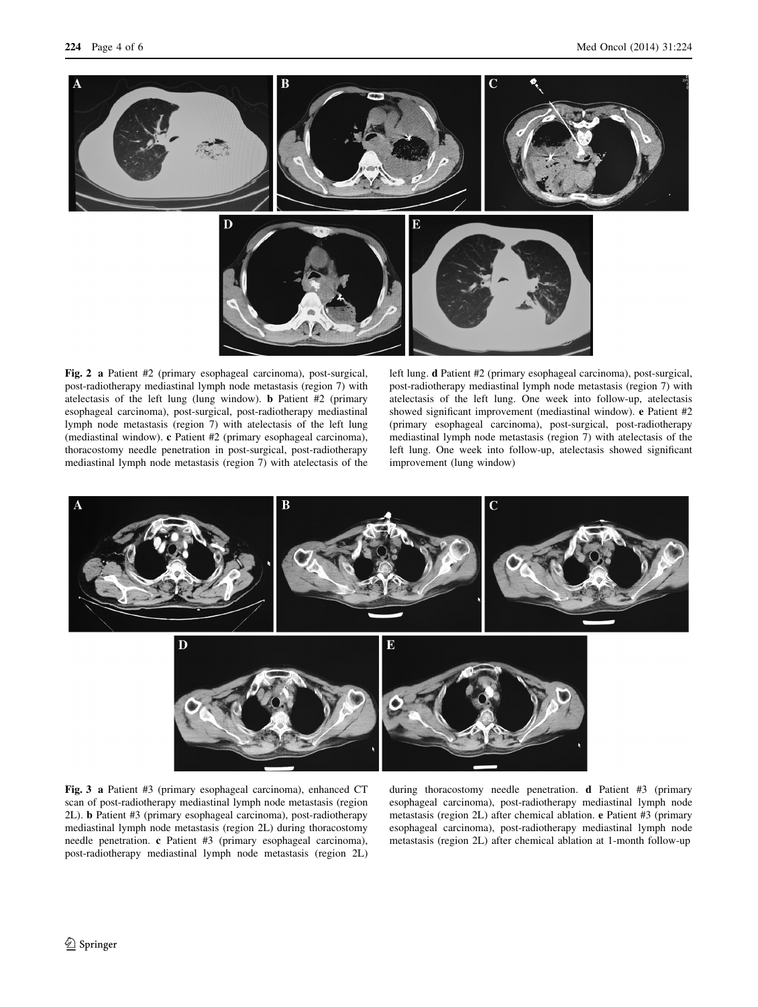<span id="page-3-0"></span>

Fig. 2 a Patient #2 (primary esophageal carcinoma), post-surgical, post-radiotherapy mediastinal lymph node metastasis (region 7) with atelectasis of the left lung (lung window). b Patient #2 (primary esophageal carcinoma), post-surgical, post-radiotherapy mediastinal lymph node metastasis (region 7) with atelectasis of the left lung (mediastinal window). c Patient #2 (primary esophageal carcinoma), thoracostomy needle penetration in post-surgical, post-radiotherapy mediastinal lymph node metastasis (region 7) with atelectasis of the left lung. d Patient #2 (primary esophageal carcinoma), post-surgical, post-radiotherapy mediastinal lymph node metastasis (region 7) with atelectasis of the left lung. One week into follow-up, atelectasis showed significant improvement (mediastinal window). e Patient #2 (primary esophageal carcinoma), post-surgical, post-radiotherapy mediastinal lymph node metastasis (region 7) with atelectasis of the left lung. One week into follow-up, atelectasis showed significant improvement (lung window)



Fig. 3 a Patient #3 (primary esophageal carcinoma), enhanced CT scan of post-radiotherapy mediastinal lymph node metastasis (region 2L). b Patient #3 (primary esophageal carcinoma), post-radiotherapy mediastinal lymph node metastasis (region 2L) during thoracostomy needle penetration. c Patient #3 (primary esophageal carcinoma), post-radiotherapy mediastinal lymph node metastasis (region 2L)

during thoracostomy needle penetration. d Patient #3 (primary esophageal carcinoma), post-radiotherapy mediastinal lymph node metastasis (region 2L) after chemical ablation. e Patient #3 (primary esophageal carcinoma), post-radiotherapy mediastinal lymph node metastasis (region 2L) after chemical ablation at 1-month follow-up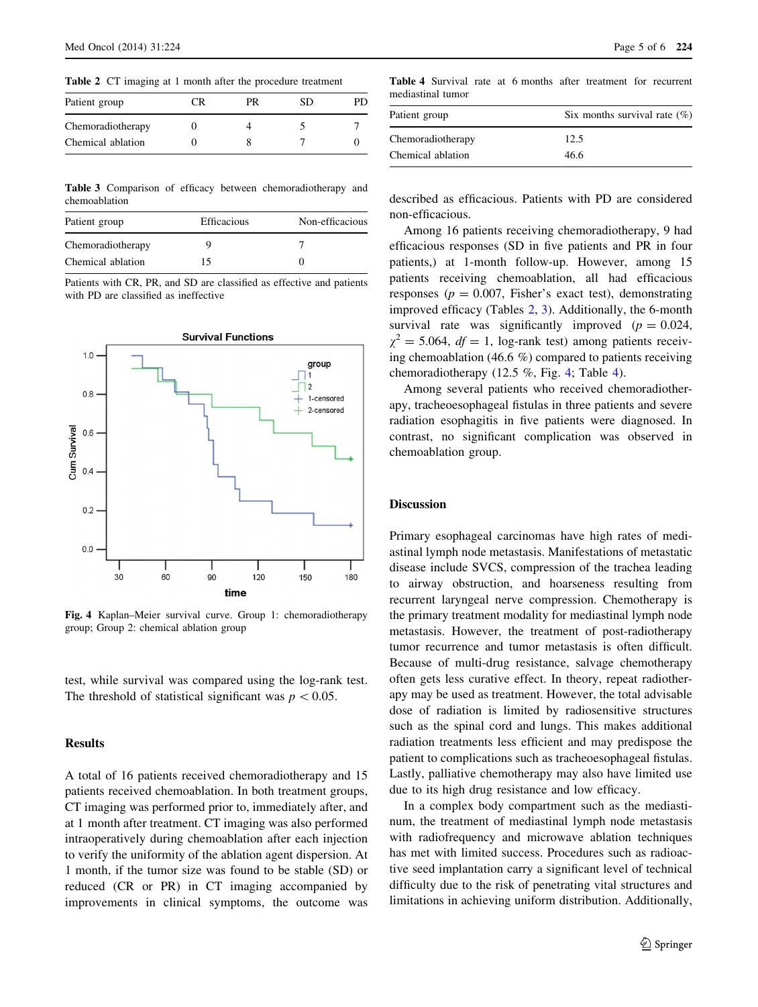Table 2 CT imaging at 1 month after the procedure treatment

| Patient group     | CR | PR | SD |  |
|-------------------|----|----|----|--|
| Chemoradiotherapy |    |    |    |  |
| Chemical ablation |    |    |    |  |

Table 3 Comparison of efficacy between chemoradiotherapy and chemoablation

| Patient group     | <b>Efficacious</b> | Non-efficacious |
|-------------------|--------------------|-----------------|
| Chemoradiotherapy |                    |                 |
| Chemical ablation | 15                 |                 |

Patients with CR, PR, and SD are classified as effective and patients with PD are classified as ineffective



Fig. 4 Kaplan–Meier survival curve. Group 1: chemoradiotherapy group; Group 2: chemical ablation group

test, while survival was compared using the log-rank test. The threshold of statistical significant was  $p\lt0.05$ .

## Results

A total of 16 patients received chemoradiotherapy and 15 patients received chemoablation. In both treatment groups, CT imaging was performed prior to, immediately after, and at 1 month after treatment. CT imaging was also performed intraoperatively during chemoablation after each injection to verify the uniformity of the ablation agent dispersion. At 1 month, if the tumor size was found to be stable (SD) or reduced (CR or PR) in CT imaging accompanied by improvements in clinical symptoms, the outcome was

Table 4 Survival rate at 6 months after treatment for recurrent mediastinal tumor

| Six months survival rate $(\%)$ |  |  |
|---------------------------------|--|--|
| 12.5                            |  |  |
| 46.6                            |  |  |
|                                 |  |  |

described as efficacious. Patients with PD are considered non-efficacious.

Among 16 patients receiving chemoradiotherapy, 9 had efficacious responses (SD in five patients and PR in four patients,) at 1-month follow-up. However, among 15 patients receiving chemoablation, all had efficacious responses ( $p = 0.007$ , Fisher's exact test), demonstrating improved efficacy (Tables 2, 3). Additionally, the 6-month survival rate was significantly improved  $(p = 0.024,$  $\gamma^2 = 5.064$ ,  $df = 1$ , log-rank test) among patients receiving chemoablation (46.6 %) compared to patients receiving chemoradiotherapy (12.5 %, Fig. 4; Table 4).

Among several patients who received chemoradiotherapy, tracheoesophageal fistulas in three patients and severe radiation esophagitis in five patients were diagnosed. In contrast, no significant complication was observed in chemoablation group.

#### **Discussion**

Primary esophageal carcinomas have high rates of mediastinal lymph node metastasis. Manifestations of metastatic disease include SVCS, compression of the trachea leading to airway obstruction, and hoarseness resulting from recurrent laryngeal nerve compression. Chemotherapy is the primary treatment modality for mediastinal lymph node metastasis. However, the treatment of post-radiotherapy tumor recurrence and tumor metastasis is often difficult. Because of multi-drug resistance, salvage chemotherapy often gets less curative effect. In theory, repeat radiotherapy may be used as treatment. However, the total advisable dose of radiation is limited by radiosensitive structures such as the spinal cord and lungs. This makes additional radiation treatments less efficient and may predispose the patient to complications such as tracheoesophageal fistulas. Lastly, palliative chemotherapy may also have limited use due to its high drug resistance and low efficacy.

In a complex body compartment such as the mediastinum, the treatment of mediastinal lymph node metastasis with radiofrequency and microwave ablation techniques has met with limited success. Procedures such as radioactive seed implantation carry a significant level of technical difficulty due to the risk of penetrating vital structures and limitations in achieving uniform distribution. Additionally,